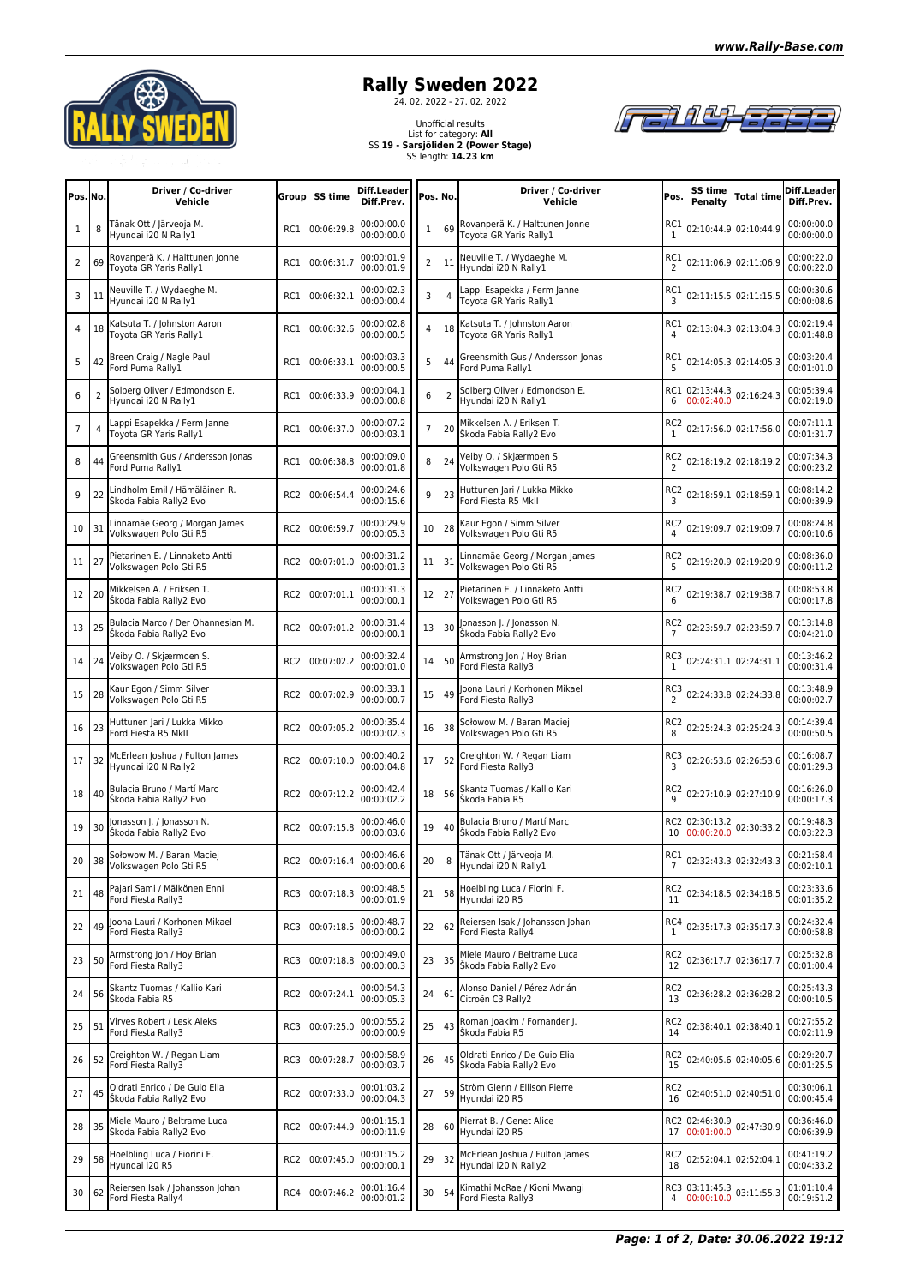

## **Rally Sweden 2022**<br>
<sup>24. 02. 2022 - 27. 02. 2022</sup>

## Unofficial results List for category: **All** SS **19 - Sarsjöliden 2 (Power Stage)** SS length: **14.23 km**



in en en

| Pos. No.     |                | Driver / Co-driver<br>Vehicle                               | Group           | SS time        | Diff.Leader<br>Diff.Prev. | Pos. No.       |                | Driver / Co-driver<br>Vehicle                             | Pos.                              | SS time<br>Penalty           | Total time                | Diff.Leader<br>Diff.Prev. |
|--------------|----------------|-------------------------------------------------------------|-----------------|----------------|---------------------------|----------------|----------------|-----------------------------------------------------------|-----------------------------------|------------------------------|---------------------------|---------------------------|
| $\mathbf{1}$ | 8              | Tänak Ott / Järveoja M.<br>Hyundai i20 N Rally1             | RC1             | 00:06:29.8     | 00:00:00.0<br>00:00:00.0  | $\mathbf{1}$   | 69             | Rovanperä K. / Halttunen Jonne<br>Toyota GR Yaris Rally1  | RC1<br>$\mathbf{1}$               |                              | 02:10:44.9 02:10:44.9     | 0.00:00:00<br>00:00:00.0  |
| 2            | 69             | Rovanperä K. / Halttunen Jonne<br>Toyota GR Yaris Rally1    | RC1             | 00:06:31.7     | 00:00:01.9<br>00:00:01.9  | $\overline{2}$ | 11             | Neuville T. / Wydaeghe M.<br>Hyundai i20 N Rally1         | RC1<br>$\overline{2}$             |                              | 02:11:06.9 02:11:06.9     | 00:00:22.0<br>00:00:22.0  |
| 3            | 11             | Neuville T. / Wydaeghe M.<br>Hyundai i20 N Rally1           | RC1             | 00:06:32.1     | 00:00:02.3<br>00:00:00.4  | 3              |                | appi Esapekka / Ferm Janne<br>Toyota GR Yaris Rally1      | RC.<br>3                          |                              | 02:11:15.5 02:11:15.5     | 00:00:30.6<br>00:00:08.6  |
| 4            | 18             | Katsuta T. / Johnston Aaron<br>Toyota GR Yaris Rally1       | RC1             | 00:06:32.6     | 00:00:02.8<br>00:00:00.5  | 4              | 18             | Katsuta T. / Johnston Aaron<br>Toyota GR Yaris Rally1     | RC1<br>4                          |                              | 02:13:04.3 02:13:04.3     | 00:02:19.4<br>00:01:48.8  |
| 5            | 42             | Breen Craig / Nagle Paul<br>Ford Puma Rally1                | RC1             | 00:06:33.1     | 00:00:03.3<br>00:00:00.5  | 5              | 44             | Greensmith Gus / Andersson Jonas<br>Ford Puma Rally1      | RC1<br>5                          |                              | 02:14:05.3 02:14:05.3     | 00:03:20.4<br>00:01:01.0  |
| 6            | $\overline{2}$ | Solberg Oliver / Edmondson E.<br>Hyundai i20 N Rally1       | RC1             | 00:06:33.9     | 00:00:04.1<br>00:00:00.8  | 6              | $\overline{2}$ | Solberg Oliver / Edmondson E.<br>Hvundai i20 N Rally1     | RC1<br>6                          | 02:13:44.3<br>00:02:40.0     | 02:16:24.3                | 00:05:39.4<br>00:02:19.0  |
| 7            | 4              | appi Esapekka / Ferm Janne<br>Toyota GR Yaris Rally1        | RC1             | 00:06:37.0     | 00:00:07.2<br>00:00:03.1  | $\overline{7}$ | 20             | Mikkelsen A. / Eriksen T.<br>Škoda Fabia Rally2 Evo       | RC2<br>$\mathbf{1}$               |                              | 02:17:56.0 02:17:56.0     | 00:07:11.1<br>00:01:31.7  |
| 8            | 44             | Greensmith Gus / Andersson Jonas<br>Ford Puma Rally1        | RC1             | 00:06:38.8     | 00:00:09.0<br>00:00:01.8  | 8              | 24             | Veiby O. / Skjærmoen S.<br>Volkswagen Polo Gti R5         | RC <sub>2</sub><br>$\overline{2}$ |                              | 02:18:19.2 02:18:19.2     | 00:07:34.3<br>00:00:23.2  |
| 9            | 22             | Lindholm Emil / Hämäläinen R.<br>Škoda Fabia Rally2 Evo     | RC <sub>2</sub> | 00:06:54.4     | 00:00:24.6<br>00:00:15.6  | 9              | 23             | Huttunen Jari / Lukka Mikko<br>Ford Fiesta R5 MkII        | RC2<br>3                          |                              | 02:18:59.1 02:18:59.1     | 00:08:14.2<br>00:00:39.9  |
| 10           | 31             | Linnamäe Georg / Morgan James<br>Volkswagen Polo Gti R5     | RC <sub>2</sub> | 00:06:59.7     | 00:00:29.9<br>00:00:05.3  | 10             | 28             | Kaur Egon / Simm Silver<br>Volkswagen Polo Gti R5         | RC2<br>4                          |                              | 02:19:09.7 02:19:09.7     | 00:08:24.8<br>00:00:10.6  |
| 11           | 27             | Pietarinen E. / Linnaketo Antti<br>Volkswagen Polo Gti R5   | RC <sub>2</sub> | 00:07:01.0     | 00:00:31.2<br>00:00:01.3  | 11             | 31             | Linnamäe Georg / Morgan James<br>Volkswagen Polo Gti R5   | RC2<br>5                          |                              | 02:19:20.9 02:19:20.9     | 00:08:36.0<br>00:00:11.2  |
| 12           | 20             | Mikkelsen A. / Eriksen T.<br>Škoda Fabia Rally2 Evo         | RC <sub>2</sub> | 00:07:01.1     | 00:00:31.3<br>00:00:00.1  | 12             | 27             | Pietarinen E. / Linnaketo Antti<br>Volkswagen Polo Gti R5 | RC <sub>2</sub><br>6              |                              | 02:19:38.7 02:19:38.7     | 00:08:53.8<br>00:00:17.8  |
| 13           | 25             | Bulacia Marco / Der Ohannesian M.<br>Škoda Fabia Rally2 Evo | RC <sub>2</sub> | 00:07:01.2     | 00:00:31.4<br>00:00:00.1  | 13             | 30             | Jonasson J. / Jonasson N.<br>Škoda Fabia Rally2 Evo       | RC <sub>2</sub><br>7              |                              | 02:23:59.7 02:23:59.7     | 00:13:14.8<br>00:04:21.0  |
| 14           | 24             | Veiby O. / Skjærmoen S.<br>Volkswagen Polo Gti R5           | RC <sub>2</sub> | 00:07:02.2     | 00:00:32.4<br>00:00:01.0  | 14             | 50             | Armstrong Jon / Hoy Brian<br>Ford Fiesta Rally3           | RC3<br>1                          |                              | 02:24:31.1 02:24:31.1     | 00:13:46.2<br>00:00:31.4  |
| 15           | 28             | Kaur Egon / Simm Silver<br>Volkswagen Polo Gti R5           | RC <sub>2</sub> | 00:07:02.9     | 00:00:33.1<br>00:00:00.7  | 15             | 49             | Joona Lauri / Korhonen Mikael<br>Ford Fiesta Rally3       | RC3<br>$\overline{2}$             |                              | 02:24:33.8 02:24:33.8     | 00:13:48.9<br>00:00:02.7  |
| 16           | 23             | Huttunen Jari / Lukka Mikko<br>Ford Fiesta R5 MkII          | RC <sub>2</sub> | 00:07:05.2     | 00:00:35.4<br>00:00:02.3  | 16             | 38             | Sołowow M. / Baran Maciej<br>Volkswagen Polo Gti R5       | RC <sub>2</sub><br>8              |                              | 02:25:24.3 02:25:24.3     | 00:14:39.4<br>00:00:50.5  |
| 17           | 32             | McErlean Joshua / Fulton James<br>Hyundai i20 N Rally2      | RC <sub>2</sub> | 00:07:10.0     | 00:00:40.2<br>00:00:04.8  | 17             | 52             | Creighton W. / Regan Liam<br>Ford Fiesta Rally3           | RC3<br>3                          |                              | 02:26:53.6 02:26:53.6     | 00:16:08.7<br>00:01:29.3  |
| 18           | 40             | Bulacia Bruno / Martí Marc<br>Škoda Fabia Rally2 Evo        | RC <sub>2</sub> | 00:07:12.2     | 00:00:42.4<br>00:00:02.2  | 18             | 56             | Skantz Tuomas / Kallio Kari<br>Škoda Fabia R5             | RC2<br>9                          |                              | 02:27:10.9 02:27:10.9     | 00:16:26.0<br>00:00:17.3  |
| 19           | 30             | onasson J. / Jonasson N.<br>Škoda Fabia Rally2 Evo          | RC <sub>2</sub> | 00:07:15.8     | 00:00:46.0<br>00:00:03.6  | 19             | 40             | Bulacia Bruno / Martí Marc<br>Škoda Fabia Rally2 Evo      | 10                                | RC2 02:30:13.2<br>00:00:20.0 | 02:30:33.2                | 00:19:48.3<br>00:03:22.3  |
| 20           | 38             | Sołowow M. / Baran Maciej<br>Volkswagen Polo Gti R5         |                 | RC2 00:07:16.4 | 00:00:46.6<br>00:00:00.6  | 20             | 8              | Tänak Ott / Järveoja M.<br>Hyundai i20 N Rally1           | 7                                 |                              | RC1 02:32:43.3 02:32:43.3 | 00:21:58.4<br>00:02:10.1  |
| 21           | 48             | Pajari Sami / Mälkönen Enni<br>Ford Fiesta Rally3           | RC3             | 00:07:18.3     | 00:00:48.5<br>00:00:01.9  | 21             | 58             | Hoelbling Luca / Fiorini F.<br>Hyundai i20 R5             | RC <sub>2</sub><br>11             |                              | 02:34:18.5 02:34:18.5     | 00:23:33.6<br>00:01:35.2  |
| 22           | 49             | Joona Lauri / Korhonen Mikael<br>Ford Fiesta Rally3         | RC3             | 00:07:18.5     | 00:00:48.7<br>00:00:00.2  | 22             | 62             | Reiersen Isak / Johansson Johan<br>Ford Fiesta Rally4     | RC4<br>1                          |                              | 02:35:17.3 02:35:17.3     | 00:24:32.4<br>00:00:58.8  |
| 23           | 50             | Armstrong Jon / Hoy Brian<br>Ford Fiesta Rally3             | RC3             | 00:07:18.8     | 00:00:49.0<br>00:00:00.3  | 23             | 35             | Miele Mauro / Beltrame Luca<br>Škoda Fabia Rally2 Evo     | RC <sub>2</sub><br>12             |                              | 02:36:17.7 02:36:17.7     | 00:25:32.8<br>00:01:00.4  |
| 24           | 56             | Skantz Tuomas / Kallio Kari<br>Škoda Fabia R5               | RC <sub>2</sub> | 00:07:24.1     | 00:00:54.3<br>00:00:05.3  | 24             | 61             | Alonso Daniel / Pérez Adrián<br>Citroën C3 Rally2         | RC <sub>2</sub><br>13             |                              | 02:36:28.2 02:36:28.2     | 00:25:43.3<br>00:00:10.5  |
| 25           | 51             | Virves Robert / Lesk Aleks<br>Ford Fiesta Rally3            | RC3             | 00:07:25.0     | 00:00:55.2<br>00:00:00.9  | 25             | 43             | Roman Joakim / Fornander J.<br>Škoda Fabia R5             | RC <sub>2</sub><br>14             |                              | 02:38:40.1 02:38:40.1     | 00:27:55.2<br>00:02:11.9  |
| 26           | 52             | Creighton W. / Regan Liam<br>Ford Fiesta Rally3             | RC3             | 00:07:28.7     | 00:00:58.9<br>00:00:03.7  | 26             | 45             | Oldrati Enrico / De Guio Elia<br>Škoda Fabia Rally2 Evo   | RC <sub>2</sub><br>15             |                              | 02:40:05.6 02:40:05.6     | 00:29:20.7<br>00:01:25.5  |
| 27           | 45             | Oldrati Enrico / De Guio Elia<br>Škoda Fabia Rally2 Evo     | RC <sub>2</sub> | 00:07:33.0     | 00:01:03.2<br>00:00:04.3  | 27             | 59             | Ström Glenn / Ellison Pierre<br>Hyundai i20 R5            | RC2<br>16                         |                              | 02:40:51.0 02:40:51.0     | 00:30:06.1<br>00:00:45.4  |
| 28           | 35             | Miele Mauro / Beltrame Luca<br>Škoda Fabia Rally2 Evo       | RC <sub>2</sub> | 00:07:44.9     | 00:01:15.1<br>00:00:11.9  | 28             | 60             | Pierrat B. / Genet Alice<br>Hyundai i20 R5                | 17                                | RC2 02:46:30.9<br>00:01:00.0 | 02:47:30.9                | 00:36:46.0<br>00:06:39.9  |
| 29           | 58             | Hoelbling Luca / Fiorini F.<br>Hyundai i20 R5               | RC <sub>2</sub> | 00:07:45.0     | 00:01:15.2<br>00:00:00.1  | 29             | 32             | McErlean Joshua / Fulton James<br>Hyundai i20 N Rally2    | RC <sub>2</sub><br>18             |                              | 02:52:04.1 02:52:04.1     | 00:41:19.2<br>00:04:33.2  |
| 30           | 62             | Reiersen Isak / Johansson Johan<br>Ford Fiesta Rally4       | RC4             | 00:07:46.2     | 00:01:16.4<br>00:00:01.2  | 30             | 54             | Kimathi McRae / Kioni Mwangi<br>Ford Fiesta Rally3        | 4                                 | RC3 03:11:45.3<br>00:00:10.0 | 03:11:55.3                | 01:01:10.4<br>00:19:51.2  |